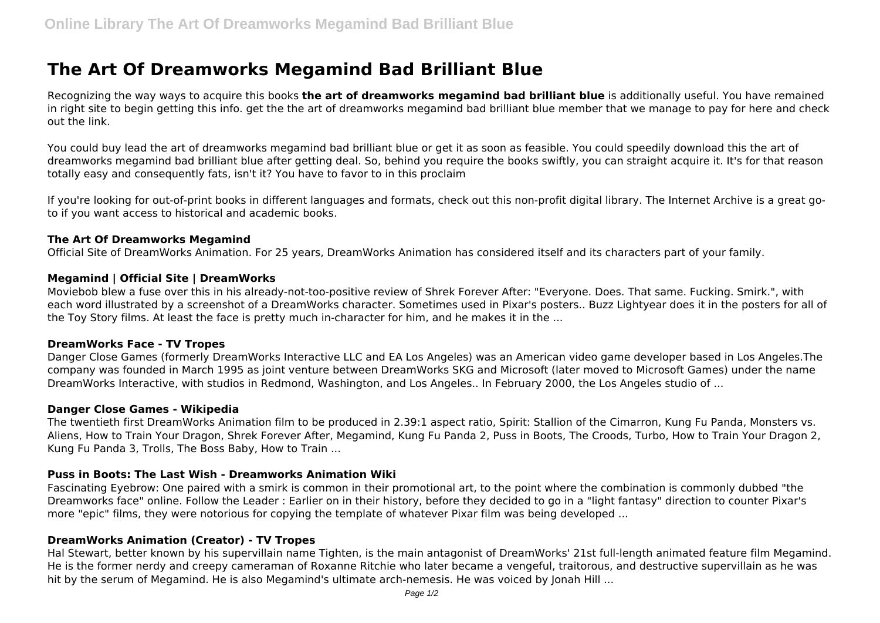# **The Art Of Dreamworks Megamind Bad Brilliant Blue**

Recognizing the way ways to acquire this books **the art of dreamworks megamind bad brilliant blue** is additionally useful. You have remained in right site to begin getting this info. get the the art of dreamworks megamind bad brilliant blue member that we manage to pay for here and check out the link.

You could buy lead the art of dreamworks megamind bad brilliant blue or get it as soon as feasible. You could speedily download this the art of dreamworks megamind bad brilliant blue after getting deal. So, behind you require the books swiftly, you can straight acquire it. It's for that reason totally easy and consequently fats, isn't it? You have to favor to in this proclaim

If you're looking for out-of-print books in different languages and formats, check out this non-profit digital library. The Internet Archive is a great goto if you want access to historical and academic books.

### **The Art Of Dreamworks Megamind**

Official Site of DreamWorks Animation. For 25 years, DreamWorks Animation has considered itself and its characters part of your family.

### **Megamind | Official Site | DreamWorks**

Moviebob blew a fuse over this in his already-not-too-positive review of Shrek Forever After: "Everyone. Does. That same. Fucking. Smirk.", with each word illustrated by a screenshot of a DreamWorks character. Sometimes used in Pixar's posters.. Buzz Lightyear does it in the posters for all of the Toy Story films. At least the face is pretty much in-character for him, and he makes it in the ...

#### **DreamWorks Face - TV Tropes**

Danger Close Games (formerly DreamWorks Interactive LLC and EA Los Angeles) was an American video game developer based in Los Angeles.The company was founded in March 1995 as joint venture between DreamWorks SKG and Microsoft (later moved to Microsoft Games) under the name DreamWorks Interactive, with studios in Redmond, Washington, and Los Angeles.. In February 2000, the Los Angeles studio of ...

#### **Danger Close Games - Wikipedia**

The twentieth first DreamWorks Animation film to be produced in 2.39:1 aspect ratio, Spirit: Stallion of the Cimarron, Kung Fu Panda, Monsters vs. Aliens, How to Train Your Dragon, Shrek Forever After, Megamind, Kung Fu Panda 2, Puss in Boots, The Croods, Turbo, How to Train Your Dragon 2, Kung Fu Panda 3, Trolls, The Boss Baby, How to Train ...

## **Puss in Boots: The Last Wish - Dreamworks Animation Wiki**

Fascinating Eyebrow: One paired with a smirk is common in their promotional art, to the point where the combination is commonly dubbed "the Dreamworks face" online. Follow the Leader : Earlier on in their history, before they decided to go in a "light fantasy" direction to counter Pixar's more "epic" films, they were notorious for copying the template of whatever Pixar film was being developed ...

## **DreamWorks Animation (Creator) - TV Tropes**

Hal Stewart, better known by his supervillain name Tighten, is the main antagonist of DreamWorks' 21st full-length animated feature film Megamind. He is the former nerdy and creepy cameraman of Roxanne Ritchie who later became a vengeful, traitorous, and destructive supervillain as he was hit by the serum of Megamind. He is also Megamind's ultimate arch-nemesis. He was voiced by Jonah Hill ...